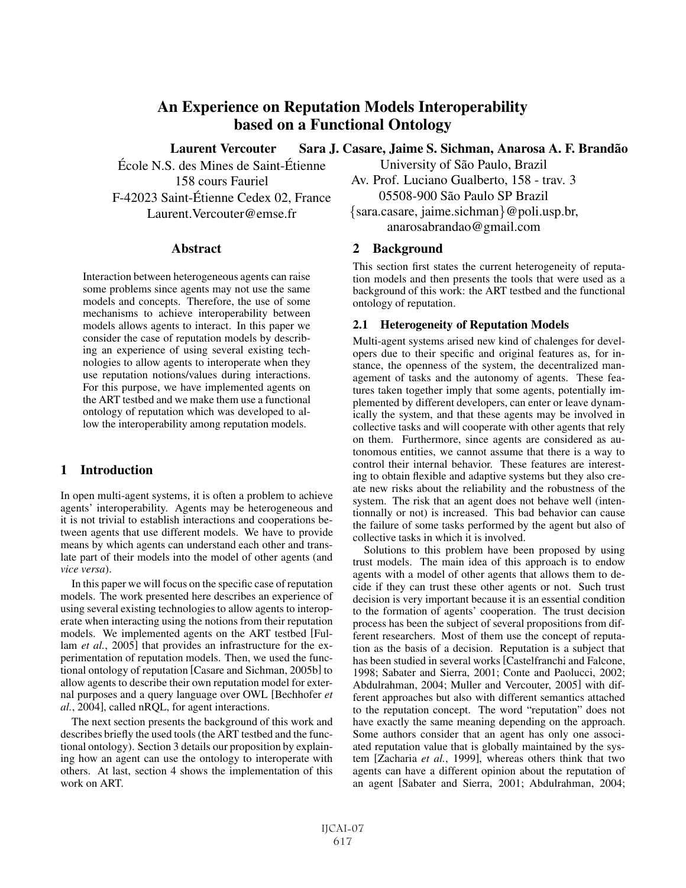# **An Experience on Reputation Models Interoperability based on a Functional Ontology**

**Laurent Vercouter**

École N.S. des Mines de Saint-Étienne 158 cours Fauriel F-42023 Saint-Etienne Cedex 02, France ´ Laurent.Vercouter@emse.fr

#### **Abstract**

Interaction between heterogeneous agents can raise some problems since agents may not use the same models and concepts. Therefore, the use of some mechanisms to achieve interoperability between models allows agents to interact. In this paper we consider the case of reputation models by describing an experience of using several existing technologies to allow agents to interoperate when they use reputation notions/values during interactions. For this purpose, we have implemented agents on the ART testbed and we make them use a functional ontology of reputation which was developed to allow the interoperability among reputation models.

#### **1 Introduction**

In open multi-agent systems, it is often a problem to achieve agents' interoperability. Agents may be heterogeneous and it is not trivial to establish interactions and cooperations between agents that use different models. We have to provide means by which agents can understand each other and translate part of their models into the model of other agents (and *vice versa*).

In this paper we will focus on the specific case of reputation models. The work presented here describes an experience of using several existing technologies to allow agents to interoperate when interacting using the notions from their reputation models. We implemented agents on the ART testbed [Fullam *et al.*, 2005] that provides an infrastructure for the experimentation of reputation models. Then, we used the functional ontology of reputation [Casare and Sichman, 2005b] to allow agents to describe their own reputation model for external purposes and a query language over OWL [Bechhofer *et al.*, 2004], called nRQL, for agent interactions.

The next section presents the background of this work and describes briefly the used tools (the ART testbed and the functional ontology). Section 3 details our proposition by explaining how an agent can use the ontology to interoperate with others. At last, section 4 shows the implementation of this work on ART.

Sara J. Casare, Jaime S. Sichman, Anarosa A. F. Brandão University of S˜ao Paulo, Brazil

> Av. Prof. Luciano Gualberto, 158 - trav. 3 05508-900 S˜ao Paulo SP Brazil

> {sara.casare, jaime.sichman}@poli.usp.br, anarosabrandao@gmail.com

### **2 Background**

This section first states the current heterogeneity of reputation models and then presents the tools that were used as a background of this work: the ART testbed and the functional ontology of reputation.

#### **2.1 Heterogeneity of Reputation Models**

Multi-agent systems arised new kind of chalenges for developers due to their specific and original features as, for instance, the openness of the system, the decentralized management of tasks and the autonomy of agents. These features taken together imply that some agents, potentially implemented by different developers, can enter or leave dynamically the system, and that these agents may be involved in collective tasks and will cooperate with other agents that rely on them. Furthermore, since agents are considered as autonomous entities, we cannot assume that there is a way to control their internal behavior. These features are interesting to obtain flexible and adaptive systems but they also create new risks about the reliability and the robustness of the system. The risk that an agent does not behave well (intentionnally or not) is increased. This bad behavior can cause the failure of some tasks performed by the agent but also of collective tasks in which it is involved.

Solutions to this problem have been proposed by using trust models. The main idea of this approach is to endow agents with a model of other agents that allows them to decide if they can trust these other agents or not. Such trust decision is very important because it is an essential condition to the formation of agents' cooperation. The trust decision process has been the subject of several propositions from different researchers. Most of them use the concept of reputation as the basis of a decision. Reputation is a subject that has been studied in several works [Castelfranchi and Falcone, 1998; Sabater and Sierra, 2001; Conte and Paolucci, 2002; Abdulrahman, 2004; Muller and Vercouter, 2005] with different approaches but also with different semantics attached to the reputation concept. The word "reputation" does not have exactly the same meaning depending on the approach. Some authors consider that an agent has only one associated reputation value that is globally maintained by the system [Zacharia *et al.*, 1999], whereas others think that two agents can have a different opinion about the reputation of an agent [Sabater and Sierra, 2001; Abdulrahman, 2004;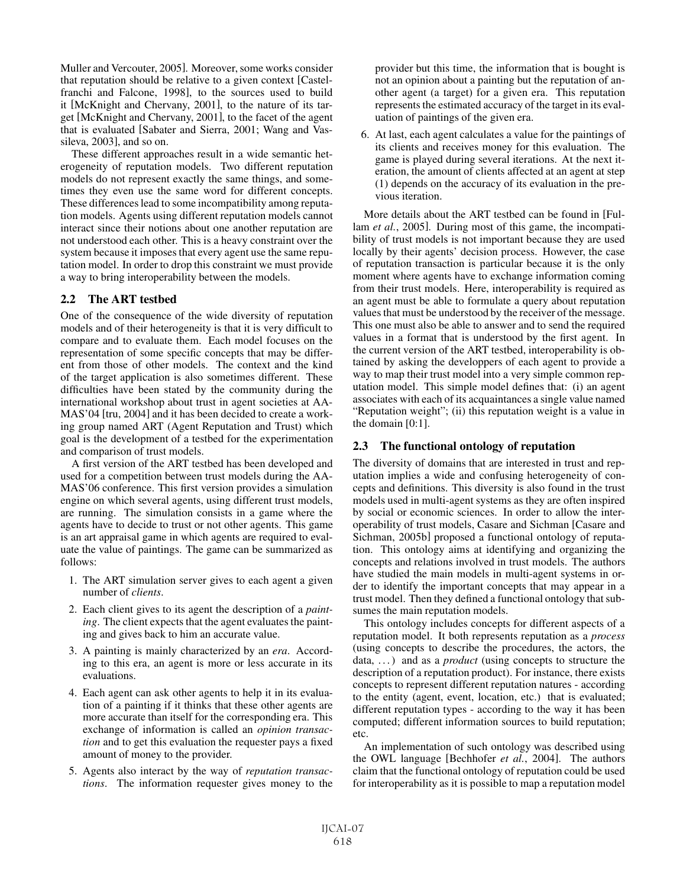Muller and Vercouter, 2005]. Moreover, some works consider that reputation should be relative to a given context [Castelfranchi and Falcone, 1998], to the sources used to build it [McKnight and Chervany, 2001], to the nature of its target [McKnight and Chervany, 2001], to the facet of the agent that is evaluated [Sabater and Sierra, 2001; Wang and Vassileva, 2003], and so on.

These different approaches result in a wide semantic heterogeneity of reputation models. Two different reputation models do not represent exactly the same things, and sometimes they even use the same word for different concepts. These differences lead to some incompatibility among reputation models. Agents using different reputation models cannot interact since their notions about one another reputation are not understood each other. This is a heavy constraint over the system because it imposes that every agent use the same reputation model. In order to drop this constraint we must provide a way to bring interoperability between the models.

### **2.2 The ART testbed**

One of the consequence of the wide diversity of reputation models and of their heterogeneity is that it is very difficult to compare and to evaluate them. Each model focuses on the representation of some specific concepts that may be different from those of other models. The context and the kind of the target application is also sometimes different. These difficulties have been stated by the community during the international workshop about trust in agent societies at AA-MAS'04 [tru, 2004] and it has been decided to create a working group named ART (Agent Reputation and Trust) which goal is the development of a testbed for the experimentation and comparison of trust models.

A first version of the ART testbed has been developed and used for a competition between trust models during the AA-MAS'06 conference. This first version provides a simulation engine on which several agents, using different trust models, are running. The simulation consists in a game where the agents have to decide to trust or not other agents. This game is an art appraisal game in which agents are required to evaluate the value of paintings. The game can be summarized as follows:

- 1. The ART simulation server gives to each agent a given number of *clients*.
- 2. Each client gives to its agent the description of a *painting*. The client expects that the agent evaluates the painting and gives back to him an accurate value.
- 3. A painting is mainly characterized by an *era*. According to this era, an agent is more or less accurate in its evaluations.
- 4. Each agent can ask other agents to help it in its evaluation of a painting if it thinks that these other agents are more accurate than itself for the corresponding era. This exchange of information is called an *opinion transaction* and to get this evaluation the requester pays a fixed amount of money to the provider.
- 5. Agents also interact by the way of *reputation transactions*. The information requester gives money to the

provider but this time, the information that is bought is not an opinion about a painting but the reputation of another agent (a target) for a given era. This reputation represents the estimated accuracy of the target in its evaluation of paintings of the given era.

6. At last, each agent calculates a value for the paintings of its clients and receives money for this evaluation. The game is played during several iterations. At the next iteration, the amount of clients affected at an agent at step (1) depends on the accuracy of its evaluation in the previous iteration.

More details about the ART testbed can be found in [Fullam *et al.*, 2005]. During most of this game, the incompatibility of trust models is not important because they are used locally by their agents' decision process. However, the case of reputation transaction is particular because it is the only moment where agents have to exchange information coming from their trust models. Here, interoperability is required as an agent must be able to formulate a query about reputation values that must be understood by the receiver of the message. This one must also be able to answer and to send the required values in a format that is understood by the first agent. In the current version of the ART testbed, interoperability is obtained by asking the developpers of each agent to provide a way to map their trust model into a very simple common reputation model. This simple model defines that: (i) an agent associates with each of its acquaintances a single value named "Reputation weight"; (ii) this reputation weight is a value in the domain [0:1].

### **2.3 The functional ontology of reputation**

The diversity of domains that are interested in trust and reputation implies a wide and confusing heterogeneity of concepts and definitions. This diversity is also found in the trust models used in multi-agent systems as they are often inspired by social or economic sciences. In order to allow the interoperability of trust models, Casare and Sichman [Casare and Sichman, 2005b] proposed a functional ontology of reputation. This ontology aims at identifying and organizing the concepts and relations involved in trust models. The authors have studied the main models in multi-agent systems in order to identify the important concepts that may appear in a trust model. Then they defined a functional ontology that subsumes the main reputation models.

This ontology includes concepts for different aspects of a reputation model. It both represents reputation as a *process* (using concepts to describe the procedures, the actors, the data, ...) and as a *product* (using concepts to structure the description of a reputation product). For instance, there exists concepts to represent different reputation natures - according to the entity (agent, event, location, etc.) that is evaluated; different reputation types - according to the way it has been computed; different information sources to build reputation; etc.

An implementation of such ontology was described using the OWL language [Bechhofer *et al.*, 2004]. The authors claim that the functional ontology of reputation could be used for interoperability as it is possible to map a reputation model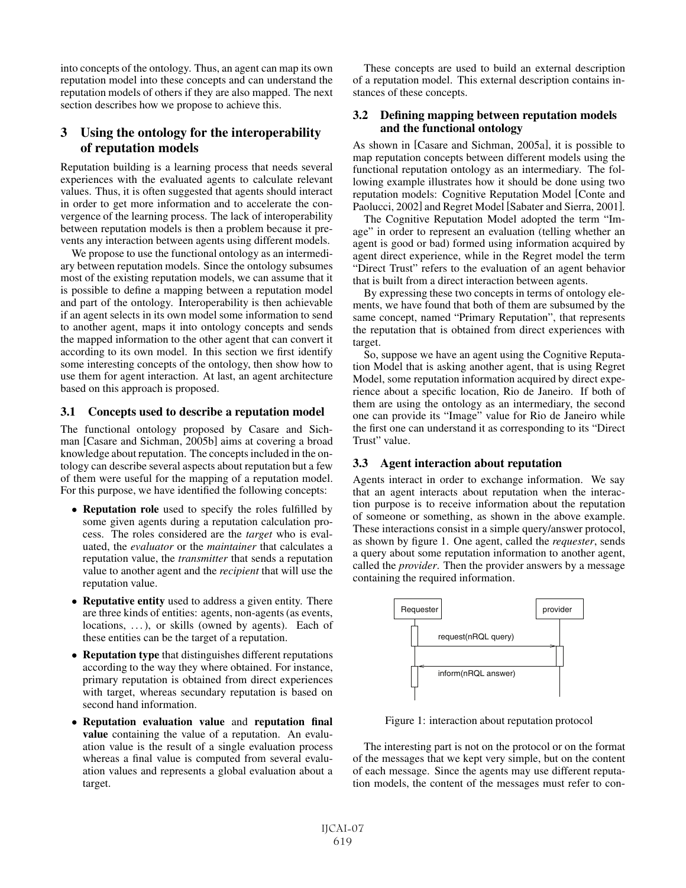into concepts of the ontology. Thus, an agent can map its own reputation model into these concepts and can understand the reputation models of others if they are also mapped. The next section describes how we propose to achieve this.

# **3 Using the ontology for the interoperability of reputation models**

Reputation building is a learning process that needs several experiences with the evaluated agents to calculate relevant values. Thus, it is often suggested that agents should interact in order to get more information and to accelerate the convergence of the learning process. The lack of interoperability between reputation models is then a problem because it prevents any interaction between agents using different models.

We propose to use the functional ontology as an intermediary between reputation models. Since the ontology subsumes most of the existing reputation models, we can assume that it is possible to define a mapping between a reputation model and part of the ontology. Interoperability is then achievable if an agent selects in its own model some information to send to another agent, maps it into ontology concepts and sends the mapped information to the other agent that can convert it according to its own model. In this section we first identify some interesting concepts of the ontology, then show how to use them for agent interaction. At last, an agent architecture based on this approach is proposed.

### **3.1 Concepts used to describe a reputation model**

The functional ontology proposed by Casare and Sichman [Casare and Sichman, 2005b] aims at covering a broad knowledge about reputation. The concepts included in the ontology can describe several aspects about reputation but a few of them were useful for the mapping of a reputation model. For this purpose, we have identified the following concepts:

- **Reputation role** used to specify the roles fulfilled by some given agents during a reputation calculation process. The roles considered are the *target* who is evaluated, the *evaluator* or the *maintainer* that calculates a reputation value, the *transmitter* that sends a reputation value to another agent and the *recipient* that will use the reputation value.
- **Reputative entity** used to address a given entity. There are three kinds of entities: agents, non-agents (as events, locations, ...), or skills (owned by agents). Each of these entities can be the target of a reputation.
- **Reputation type** that distinguishes different reputations according to the way they where obtained. For instance, primary reputation is obtained from direct experiences with target, whereas secundary reputation is based on second hand information.
- **Reputation evaluation value** and **reputation final value** containing the value of a reputation. An evaluation value is the result of a single evaluation process whereas a final value is computed from several evaluation values and represents a global evaluation about a target.

These concepts are used to build an external description of a reputation model. This external description contains instances of these concepts.

#### **3.2 Defining mapping between reputation models and the functional ontology**

As shown in [Casare and Sichman, 2005a], it is possible to map reputation concepts between different models using the functional reputation ontology as an intermediary. The following example illustrates how it should be done using two reputation models: Cognitive Reputation Model [Conte and Paolucci, 2002] and Regret Model [Sabater and Sierra, 2001].

The Cognitive Reputation Model adopted the term "Image" in order to represent an evaluation (telling whether an agent is good or bad) formed using information acquired by agent direct experience, while in the Regret model the term "Direct Trust" refers to the evaluation of an agent behavior that is built from a direct interaction between agents.

By expressing these two concepts in terms of ontology elements, we have found that both of them are subsumed by the same concept, named "Primary Reputation", that represents the reputation that is obtained from direct experiences with target.

So, suppose we have an agent using the Cognitive Reputation Model that is asking another agent, that is using Regret Model, some reputation information acquired by direct experience about a specific location, Rio de Janeiro. If both of them are using the ontology as an intermediary, the second one can provide its "Image" value for Rio de Janeiro while the first one can understand it as corresponding to its "Direct Trust" value.

#### **3.3 Agent interaction about reputation**

Agents interact in order to exchange information. We say that an agent interacts about reputation when the interaction purpose is to receive information about the reputation of someone or something, as shown in the above example. These interactions consist in a simple query/answer protocol, as shown by figure 1. One agent, called the *requester*, sends a query about some reputation information to another agent, called the *provider*. Then the provider answers by a message containing the required information.



Figure 1: interaction about reputation protocol

The interesting part is not on the protocol or on the format of the messages that we kept very simple, but on the content of each message. Since the agents may use different reputation models, the content of the messages must refer to con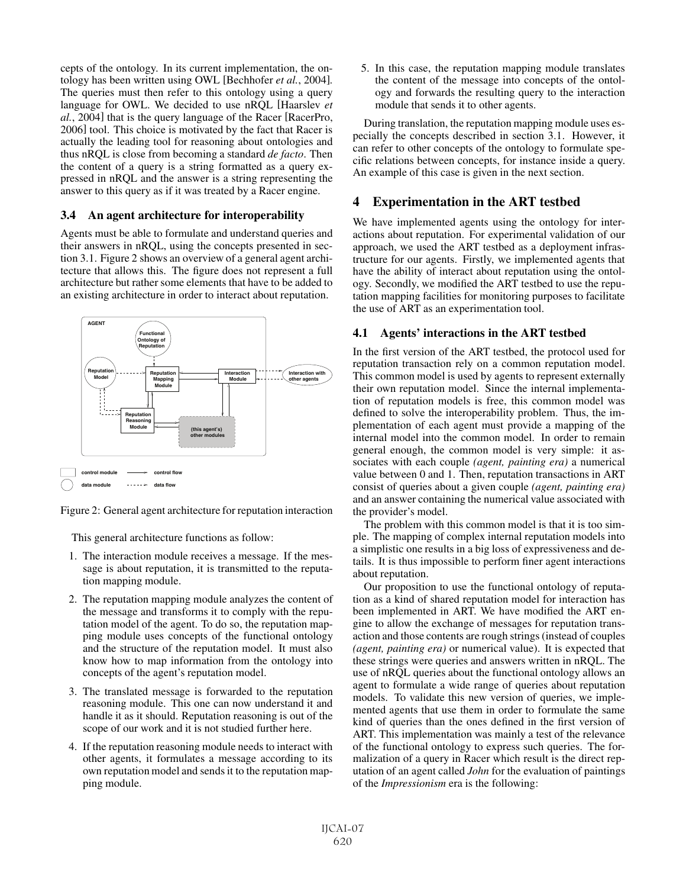cepts of the ontology. In its current implementation, the ontology has been written using OWL [Bechhofer *et al.*, 2004]. The queries must then refer to this ontology using a query language for OWL. We decided to use nRQL [Haarslev *et al.*, 2004] that is the query language of the Racer [RacerPro, 2006] tool. This choice is motivated by the fact that Racer is actually the leading tool for reasoning about ontologies and thus nRQL is close from becoming a standard *de facto*. Then the content of a query is a string formatted as a query expressed in nRQL and the answer is a string representing the answer to this query as if it was treated by a Racer engine.

### **3.4 An agent architecture for interoperability**

Agents must be able to formulate and understand queries and their answers in nRQL, using the concepts presented in section 3.1. Figure 2 shows an overview of a general agent architecture that allows this. The figure does not represent a full architecture but rather some elements that have to be added to an existing architecture in order to interact about reputation.



Figure 2: General agent architecture for reputation interaction

This general architecture functions as follow:

- 1. The interaction module receives a message. If the message is about reputation, it is transmitted to the reputation mapping module.
- 2. The reputation mapping module analyzes the content of the message and transforms it to comply with the reputation model of the agent. To do so, the reputation mapping module uses concepts of the functional ontology and the structure of the reputation model. It must also know how to map information from the ontology into concepts of the agent's reputation model.
- 3. The translated message is forwarded to the reputation reasoning module. This one can now understand it and handle it as it should. Reputation reasoning is out of the scope of our work and it is not studied further here.
- 4. If the reputation reasoning module needs to interact with other agents, it formulates a message according to its own reputation model and sends it to the reputation mapping module.

5. In this case, the reputation mapping module translates the content of the message into concepts of the ontology and forwards the resulting query to the interaction module that sends it to other agents.

During translation, the reputation mapping module uses especially the concepts described in section 3.1. However, it can refer to other concepts of the ontology to formulate specific relations between concepts, for instance inside a query. An example of this case is given in the next section.

## **4 Experimentation in the ART testbed**

We have implemented agents using the ontology for interactions about reputation. For experimental validation of our approach, we used the ART testbed as a deployment infrastructure for our agents. Firstly, we implemented agents that have the ability of interact about reputation using the ontology. Secondly, we modified the ART testbed to use the reputation mapping facilities for monitoring purposes to facilitate the use of ART as an experimentation tool.

### **4.1 Agents' interactions in the ART testbed**

In the first version of the ART testbed, the protocol used for reputation transaction rely on a common reputation model. This common model is used by agents to represent externally their own reputation model. Since the internal implementation of reputation models is free, this common model was defined to solve the interoperability problem. Thus, the implementation of each agent must provide a mapping of the internal model into the common model. In order to remain general enough, the common model is very simple: it associates with each couple *(agent, painting era)* a numerical value between 0 and 1. Then, reputation transactions in ART consist of queries about a given couple *(agent, painting era)* and an answer containing the numerical value associated with the provider's model.

The problem with this common model is that it is too simple. The mapping of complex internal reputation models into a simplistic one results in a big loss of expressiveness and details. It is thus impossible to perform finer agent interactions about reputation.

Our proposition to use the functional ontology of reputation as a kind of shared reputation model for interaction has been implemented in ART. We have modified the ART engine to allow the exchange of messages for reputation transaction and those contents are rough strings (instead of couples *(agent, painting era)* or numerical value). It is expected that these strings were queries and answers written in nRQL. The use of nRQL queries about the functional ontology allows an agent to formulate a wide range of queries about reputation models. To validate this new version of queries, we implemented agents that use them in order to formulate the same kind of queries than the ones defined in the first version of ART. This implementation was mainly a test of the relevance of the functional ontology to express such queries. The formalization of a query in Racer which result is the direct reputation of an agent called *John* for the evaluation of paintings of the *Impressionism* era is the following: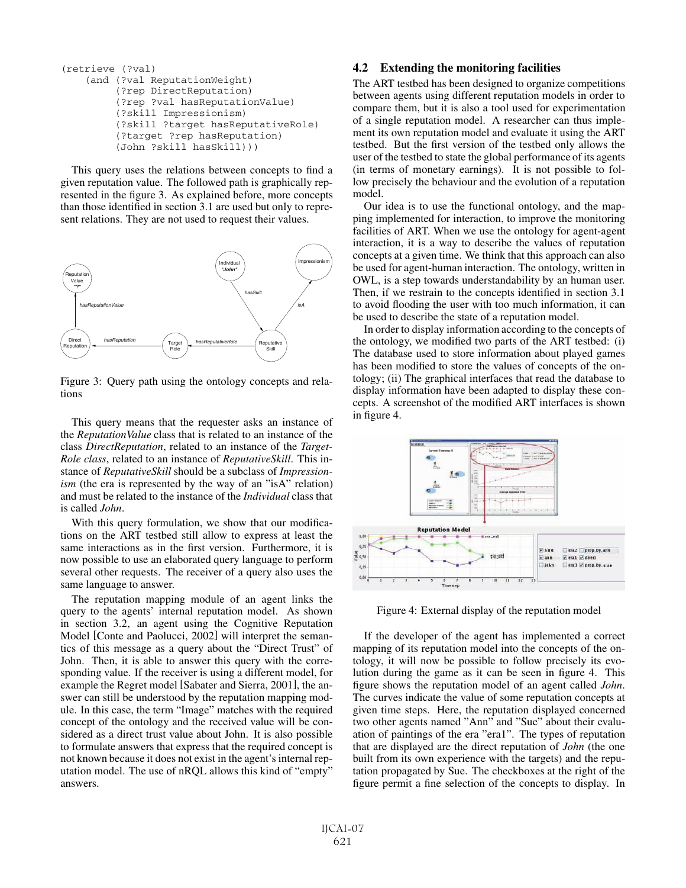```
(retrieve (?val)
(and (?val ReputationWeight)
     (?rep DirectReputation)
     (?rep ?val hasReputationValue)
     (?skill Impressionism)
     (?skill ?target hasReputativeRole)
     (?target ?rep hasReputation)
     (John ?skill hasSkill)))
```
This query uses the relations between concepts to find a given reputation value. The followed path is graphically represented in the figure 3. As explained before, more concepts than those identified in section 3.1 are used but only to represent relations. They are not used to request their values.



Figure 3: Query path using the ontology concepts and relations

This query means that the requester asks an instance of the *ReputationValue* class that is related to an instance of the class *DirectReputation*, related to an instance of the *Target-Role class*, related to an instance of *ReputativeSkill*. This instance of *ReputativeSkill* should be a subclass of *Impressionism* (the era is represented by the way of an "isA" relation) and must be related to the instance of the *Individual* class that is called *John*.

With this query formulation, we show that our modifications on the ART testbed still allow to express at least the same interactions as in the first version. Furthermore, it is now possible to use an elaborated query language to perform several other requests. The receiver of a query also uses the same language to answer.

The reputation mapping module of an agent links the query to the agents' internal reputation model. As shown in section 3.2, an agent using the Cognitive Reputation Model [Conte and Paolucci, 2002] will interpret the semantics of this message as a query about the "Direct Trust" of John. Then, it is able to answer this query with the corresponding value. If the receiver is using a different model, for example the Regret model [Sabater and Sierra, 2001], the answer can still be understood by the reputation mapping module. In this case, the term "Image" matches with the required concept of the ontology and the received value will be considered as a direct trust value about John. It is also possible to formulate answers that express that the required concept is not known because it does not exist in the agent's internal reputation model. The use of nRQL allows this kind of "empty" answers.

#### **4.2 Extending the monitoring facilities**

The ART testbed has been designed to organize competitions between agents using different reputation models in order to compare them, but it is also a tool used for experimentation of a single reputation model. A researcher can thus implement its own reputation model and evaluate it using the ART testbed. But the first version of the testbed only allows the user of the testbed to state the global performance of its agents (in terms of monetary earnings). It is not possible to follow precisely the behaviour and the evolution of a reputation model.

Our idea is to use the functional ontology, and the mapping implemented for interaction, to improve the monitoring facilities of ART. When we use the ontology for agent-agent interaction, it is a way to describe the values of reputation concepts at a given time. We think that this approach can also be used for agent-human interaction. The ontology, written in OWL, is a step towards understandability by an human user. Then, if we restrain to the concepts identified in section 3.1 to avoid flooding the user with too much information, it can be used to describe the state of a reputation model.

In order to display information according to the concepts of the ontology, we modified two parts of the ART testbed: (i) The database used to store information about played games has been modified to store the values of concepts of the ontology; (ii) The graphical interfaces that read the database to display information have been adapted to display these concepts. A screenshot of the modified ART interfaces is shown in figure 4.



Figure 4: External display of the reputation model

If the developer of the agent has implemented a correct mapping of its reputation model into the concepts of the ontology, it will now be possible to follow precisely its evolution during the game as it can be seen in figure 4. This figure shows the reputation model of an agent called *John*. The curves indicate the value of some reputation concepts at given time steps. Here, the reputation displayed concerned two other agents named "Ann" and "Sue" about their evaluation of paintings of the era "era1". The types of reputation that are displayed are the direct reputation of *John* (the one built from its own experience with the targets) and the reputation propagated by Sue. The checkboxes at the right of the figure permit a fine selection of the concepts to display. In